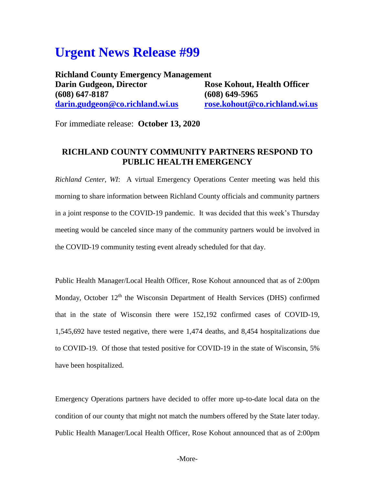## **Urgent News Release #99**

**Richland County Emergency Management Darin Gudgeon, Director Rose Kohout, Health Officer (608) 647-8187 (608) 649-5965 [darin.gudgeon@co.richland.wi.us](mailto:darin.gudgeon@co.richland.wi.us) [rose.kohout@co.richland.wi.us](mailto:rose.kohout@co.richland.wi.us)**

For immediate release: **October 13, 2020**

## **RICHLAND COUNTY COMMUNITY PARTNERS RESPOND TO PUBLIC HEALTH EMERGENCY**

*Richland Center, WI*: A virtual Emergency Operations Center meeting was held this morning to share information between Richland County officials and community partners in a joint response to the COVID-19 pandemic. It was decided that this week's Thursday meeting would be canceled since many of the community partners would be involved in the COVID-19 community testing event already scheduled for that day.

Public Health Manager/Local Health Officer, Rose Kohout announced that as of 2:00pm Monday, October 12<sup>th</sup> the Wisconsin Department of Health Services (DHS) confirmed that in the state of Wisconsin there were 152,192 confirmed cases of COVID-19, 1,545,692 have tested negative, there were 1,474 deaths, and 8,454 hospitalizations due to COVID-19. Of those that tested positive for COVID-19 in the state of Wisconsin, 5% have been hospitalized.

Emergency Operations partners have decided to offer more up-to-date local data on the condition of our county that might not match the numbers offered by the State later today. Public Health Manager/Local Health Officer, Rose Kohout announced that as of 2:00pm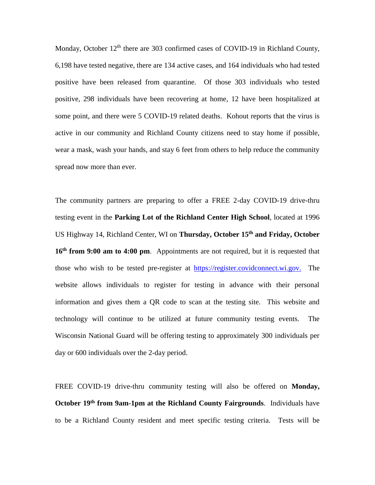Monday, October 12<sup>th</sup> there are 303 confirmed cases of COVID-19 in Richland County, 6,198 have tested negative, there are 134 active cases, and 164 individuals who had tested positive have been released from quarantine. Of those 303 individuals who tested positive, 298 individuals have been recovering at home, 12 have been hospitalized at some point, and there were 5 COVID-19 related deaths. Kohout reports that the virus is active in our community and Richland County citizens need to stay home if possible, wear a mask, wash your hands, and stay 6 feet from others to help reduce the community spread now more than ever.

The community partners are preparing to offer a FREE 2-day COVID-19 drive-thru testing event in the **Parking Lot of the Richland Center High School**, located at 1996 US Highway 14, Richland Center, WI on **Thursday, October 15th and Friday, October 16th from 9:00 am to 4:00 pm**. Appointments are not required, but it is requested that those who wish to be tested pre-register at [https://register.covidconnect.wi.gov.](https://register.covidconnect.wi.gov./) The website allows individuals to register for testing in advance with their personal information and gives them a QR code to scan at the testing site. This website and technology will continue to be utilized at future community testing events. The Wisconsin National Guard will be offering testing to approximately 300 individuals per day or 600 individuals over the 2-day period.

FREE COVID-19 drive-thru community testing will also be offered on **Monday, October 19<sup>th</sup> from 9am-1pm at the Richland County Fairgrounds.** Individuals have to be a Richland County resident and meet specific testing criteria. Tests will be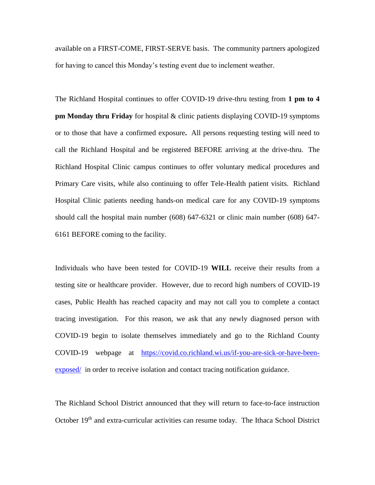available on a FIRST-COME, FIRST-SERVE basis. The community partners apologized for having to cancel this Monday's testing event due to inclement weather.

The Richland Hospital continues to offer COVID-19 drive-thru testing from **1 pm to 4 pm Monday thru Friday** for hospital & clinic patients displaying COVID-19 symptoms or to those that have a confirmed exposure**.** All persons requesting testing will need to call the Richland Hospital and be registered BEFORE arriving at the drive-thru. The Richland Hospital Clinic campus continues to offer voluntary medical procedures and Primary Care visits, while also continuing to offer Tele-Health patient visits. Richland Hospital Clinic patients needing hands-on medical care for any COVID-19 symptoms should call the hospital main number (608) 647-6321 or clinic main number (608) 647- 6161 BEFORE coming to the facility.

Individuals who have been tested for COVID-19 **WILL** receive their results from a testing site or healthcare provider. However, due to record high numbers of COVID-19 cases, Public Health has reached capacity and may not call you to complete a contact tracing investigation. For this reason, we ask that any newly diagnosed person with COVID-19 begin to isolate themselves immediately and go to the Richland County COVID-19 webpage at [https://covid.co.richland.wi.us/if-you-are-sick-or-have-been](https://covid.co.richland.wi.us/if-you-are-sick-or-have-been-exposed/)[exposed/](https://covid.co.richland.wi.us/if-you-are-sick-or-have-been-exposed/) in order to receive isolation and contact tracing notification guidance.

The Richland School District announced that they will return to face-to-face instruction October 19<sup>th</sup> and extra-curricular activities can resume today. The Ithaca School District